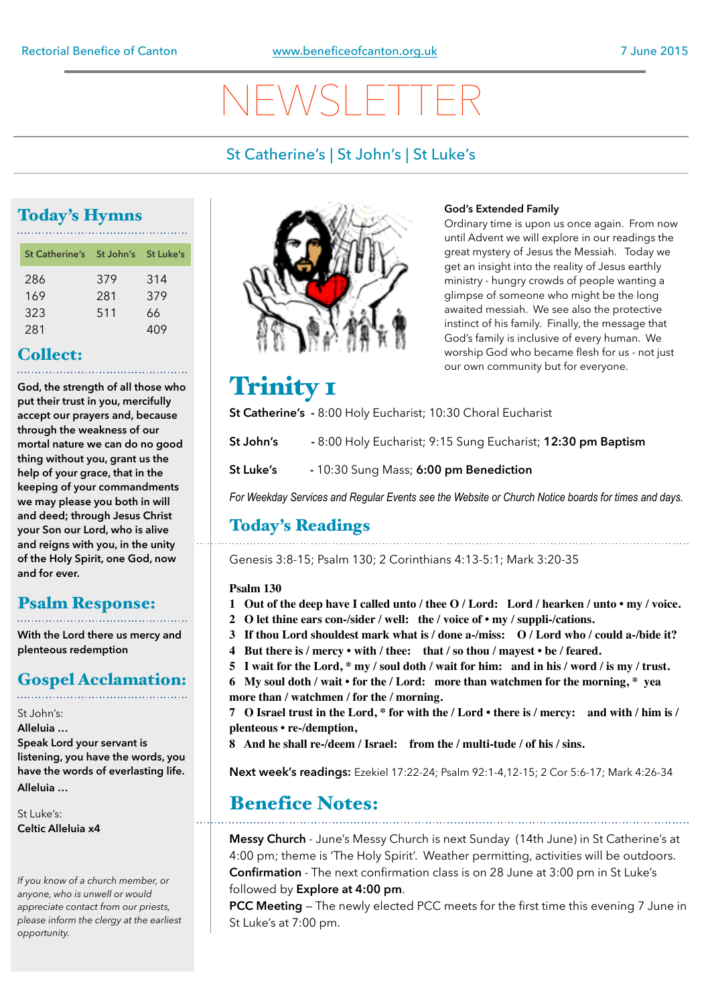# NEWSLETTER

## St Catherine's | St John's | St Luke's

## Today's Hymns

| St Catherine's St John's St Luke's |     |     |
|------------------------------------|-----|-----|
| 286                                | 379 | 314 |
| 169                                | 281 | 379 |
| 323                                | 511 | 66  |
| 281                                |     | 409 |

## Collect:

**God, the strength of all those who put their trust in you, mercifully accept our prayers and, because through the weakness of our mortal nature we can do no good thing without you, grant us the help of your grace, that in the keeping of your commandments we may please you both in will and deed; through Jesus Christ your Son our Lord, who is alive and reigns with you, in the unity of the Holy Spirit, one God, now and for ever.**

## Psalm Response:

**With the Lord there us mercy and plenteous redemption**

## Gospel Acclamation:

St John's: **Alleluia … Speak Lord your servant is listening, you have the words, you have the words of everlasting life. Alleluia …** 

St Luke's: **Celtic Alleluia x4** 

*If you know of a church member, or anyone, who is unwell or would appreciate contact from our priests, please inform the clergy at the earliest opportunity.* 



## **God's Extended Family**

Ordinary time is upon us once again. From now until Advent we will explore in our readings the great mystery of Jesus the Messiah. Today we get an insight into the reality of Jesus earthly ministry - hungry crowds of people wanting a glimpse of someone who might be the long awaited messiah. We see also the protective instinct of his family. Finally, the message that God's family is inclusive of every human. We worship God who became flesh for us - not just our own community but for everyone.

## Trinity 1

**St Catherine's -** 8:00 Holy Eucharist; 10:30 Choral Eucharist

- **St John's** 8:00 Holy Eucharist; 9:15 Sung Eucharist; **12:30 pm Baptism**
- **St Luke's** 10:30 Sung Mass; **6:00 pm Benediction**

*For Weekday Services and Regular Events see the Website or Church Notice boards for times and days.*

## Today's Readings

Genesis 3:8-15; Psalm 130; 2 Corinthians 4:13-5:1; Mark 3:20-35

## **Psalm 130**

- **1 Out of the deep have I called unto / thee O / Lord: Lord / hearken / unto my / voice.**
- **2 O let thine ears con-/sider / well: the / voice of my / suppli-/cations.**
- **3 If thou Lord shouldest mark what is / done a-/miss: O / Lord who / could a-/bide it?**
- **4 But there is / mercy with / thee: that / so thou / mayest be / feared.**
- **5 I wait for the Lord, \* my / soul doth / wait for him: and in his / word / is my / trust.**
- **6 My soul doth / wait for the / Lord: more than watchmen for the morning, \* yea more than / watchmen / for the / morning.**

**7 O Israel trust in the Lord, \* for with the / Lord • there is / mercy: and with / him is / plenteous • re-/demption,**

**8 And he shall re-/deem / Israel: from the / multi-tude / of his / sins.**

**Next week's readings:** Ezekiel 17:22-24; Psalm 92:1-4,12-15; 2 Cor 5:6-17; Mark 4:26-34

## Benefice Notes:

**Messy Church** - June's Messy Church is next Sunday (14th June) in St Catherine's at 4:00 pm; theme is 'The Holy Spirit'. Weather permitting, activities will be outdoors. **Confirmation** - The next confirmation class is on 28 June at 3:00 pm in St Luke's followed by **Explore at 4:00 pm**.

**PCC Meeting** — The newly elected PCC meets for the first time this evening 7 June in St Luke's at 7:00 pm.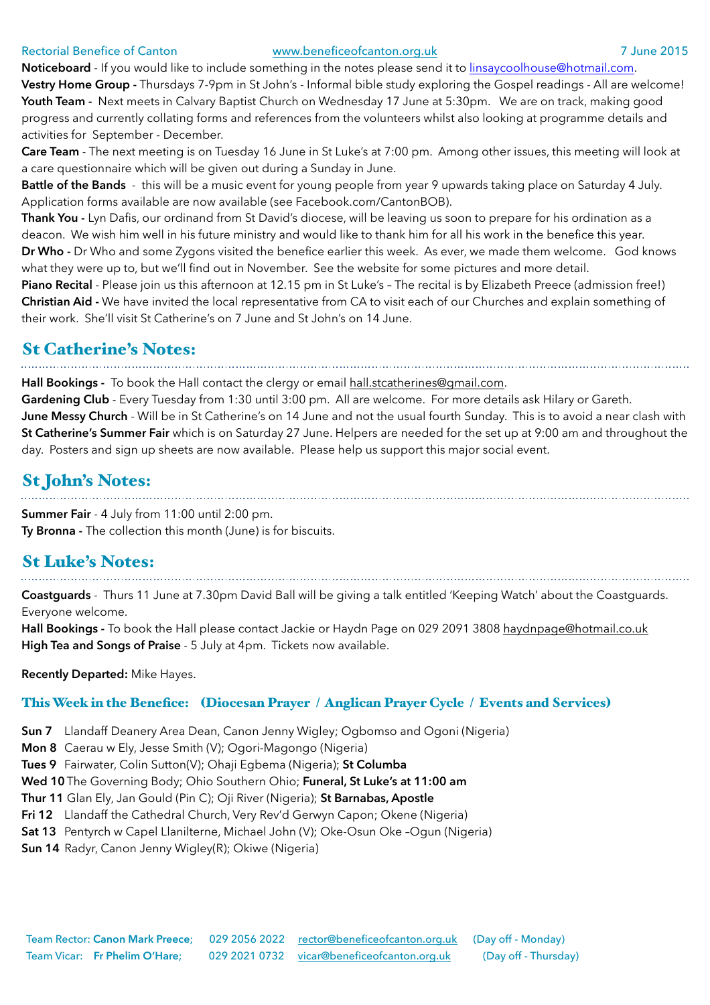### Rectorial Benefice of Canton [www.beneficeofcanton.org.uk](http://www.beneficeofcanton.org.uk) 7 June 2015

**Noticeboard** - If you would like to include something in the notes please send it to [linsaycoolhouse@hotmail.com](mailto:linsaycoolhouse@hotmail.com). **Vestry Home Group -** Thursdays 7-9pm in St John's - Informal bible study exploring the Gospel readings - All are welcome! **Youth Team -** Next meets in Calvary Baptist Church on Wednesday 17 June at 5:30pm. We are on track, making good progress and currently collating forms and references from the volunteers whilst also looking at programme details and activities for September - December.

**Care Team** - The next meeting is on Tuesday 16 June in St Luke's at 7:00 pm. Among other issues, this meeting will look at a care questionnaire which will be given out during a Sunday in June.

**Battle of the Bands** - this will be a music event for young people from year 9 upwards taking place on Saturday 4 July. Application forms available are now available (see Facebook.com/CantonBOB).

**Thank You -** Lyn Dafis, our ordinand from St David's diocese, will be leaving us soon to prepare for his ordination as a deacon. We wish him well in his future ministry and would like to thank him for all his work in the benefice this year.

**Dr Who -** Dr Who and some Zygons visited the benefice earlier this week. As ever, we made them welcome. God knows what they were up to, but we'll find out in November. See the website for some pictures and more detail.

**Piano Recital** - Please join us this afternoon at 12.15 pm in St Luke's – The recital is by Elizabeth Preece (admission free!) **Christian Aid -** We have invited the local representative from CA to visit each of our Churches and explain something of their work. She'll visit St Catherine's on 7 June and St John's on 14 June.

## St Catherine's Notes:

**Hall Bookings -** To book the Hall contact the clergy or email [hall.stcatherines@gmail.com](mailto:hall.stcatherines@gmail.com).

**Gardening Club** - Every Tuesday from 1:30 until 3:00 pm. All are welcome. For more details ask Hilary or Gareth. **June Messy Church** - Will be in St Catherine's on 14 June and not the usual fourth Sunday. This is to avoid a near clash with **St Catherine's Summer Fair** which is on Saturday 27 June. Helpers are needed for the set up at 9:00 am and throughout the day. Posters and sign up sheets are now available. Please help us support this major social event.

St John's Notes: **Summer Fair** - 4 July from 11:00 until 2:00 pm.

**Ty Bronna -** The collection this month (June) is for biscuits.

## St Luke's Notes:

**Coastguards** - Thurs 11 June at 7.30pm David Ball will be giving a talk entitled 'Keeping Watch' about the Coastguards. Everyone welcome.

**Hall Bookings -** To book the Hall please contact Jackie or Haydn Page on 029 2091 3808 [haydnpage@hotmail.co.uk](mailto:haydnpage@hotmail.co.uk) **High Tea and Songs of Praise** - 5 July at 4pm. Tickets now available.

**Recently Departed:** Mike Hayes.

## This Week in the Benefice: (Diocesan Prayer / Anglican Prayer Cycle / Events and Services)

**Sun 7** Llandaff Deanery Area Dean, Canon Jenny Wigley; Ogbomso and Ogoni (Nigeria)

**Mon 8** Caerau w Ely, Jesse Smith (V); Ogori-Magongo (Nigeria)

**Tues 9** Fairwater, Colin Sutton(V); Ohaji Egbema (Nigeria); **St Columba**

**Wed 10**The Governing Body; Ohio Southern Ohio; **Funeral, St Luke's at 11:00 am** 

**Thur 11** Glan Ely, Jan Gould (Pin C); Oji River (Nigeria); **St Barnabas, Apostle** 

**Fri 12** Llandaff the Cathedral Church, Very Rev'd Gerwyn Capon; Okene (Nigeria)

**Sat 13** Pentyrch w Capel Llanilterne, Michael John (V); Oke-Osun Oke –Ogun (Nigeria)

**Sun 14** Radyr, Canon Jenny Wigley(R); Okiwe (Nigeria)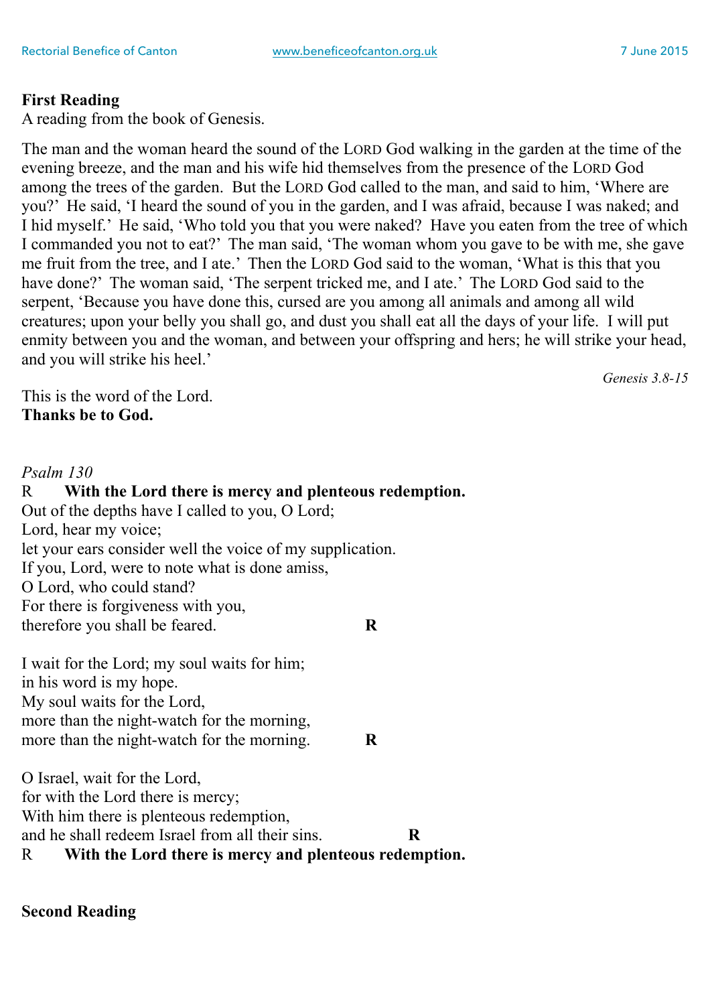## **First Reading**

A reading from the book of Genesis.

The man and the woman heard the sound of the LORD God walking in the garden at the time of the evening breeze, and the man and his wife hid themselves from the presence of the LORD God among the trees of the garden. But the LORD God called to the man, and said to him, 'Where are you?' He said, 'I heard the sound of you in the garden, and I was afraid, because I was naked; and I hid myself.' He said, 'Who told you that you were naked? Have you eaten from the tree of which I commanded you not to eat?' The man said, 'The woman whom you gave to be with me, she gave me fruit from the tree, and I ate.' Then the LORD God said to the woman, 'What is this that you have done?' The woman said, 'The serpent tricked me, and I ate.' The LORD God said to the serpent, 'Because you have done this, cursed are you among all animals and among all wild creatures; upon your belly you shall go, and dust you shall eat all the days of your life. I will put enmity between you and the woman, and between your offspring and hers; he will strike your head, and you will strike his heel.'

This is the word of the Lord. **Thanks be to God.**

## *Psalm 130*

R **With the Lord there is mercy and plenteous redemption.** Out of the depths have I called to you, O Lord; Lord, hear my voice; let your ears consider well the voice of my supplication. If you, Lord, were to note what is done amiss, O Lord, who could stand? For there is forgiveness with you, therefore you shall be feared. **R**

I wait for the Lord; my soul waits for him; in his word is my hope. My soul waits for the Lord, more than the night-watch for the morning, more than the night-watch for the morning. **R**

O Israel, wait for the Lord, for with the Lord there is mercy; With him there is plenteous redemption. and he shall redeem Israel from all their sins. **R** R **With the Lord there is mercy and plenteous redemption.**

**Second Reading**

*Genesis 3.8-15*